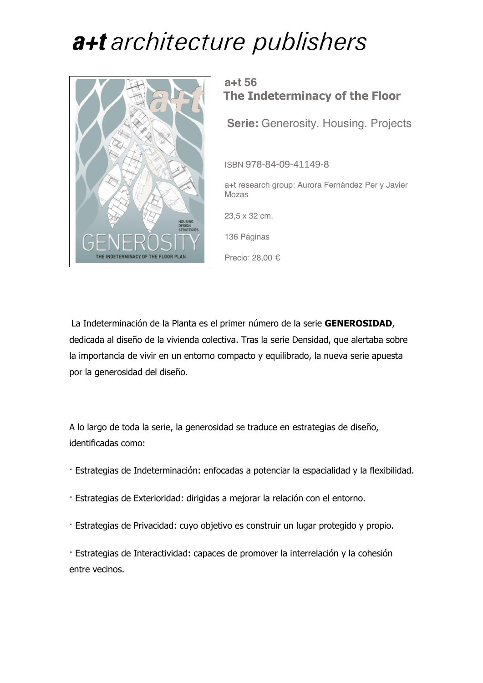

### **a+t 56 The Indeterminacy of the Floor**

**Serie:** Generosity. Housing. Projects

ISBN 978-84-09-41149-8

a+t research group: Aurora Fernández Per y Javier Mozas

23,5 x 32 cm.

136 Páginas

Precio: 28,00 €

La Indeterminación de la Planta es el primer número de la serie **GENEROSIDAD**, dedicada al diseño de la vivienda colectiva. Tras la serie Densidad, que alertaba sobre la importancia de vivir en un entorno compacto y equilibrado, la nueva serie apuesta por la generosidad del diseño.

A lo largo de toda la serie, la generosidad se traduce en estrategias de diseño, identificadas como:

- · Estrategias de Indeterminación: enfocadas a potenciar la espacialidad y la flexibilidad.
- · Estrategias de Exterioridad: dirigidas a mejorar la relación con el entorno.
- · Estrategias de Privacidad: cuyo objetivo es construir un lugar protegido y propio.

· Estrategias de Interactividad: capaces de promover la interrelación y la cohesión entre vecinos.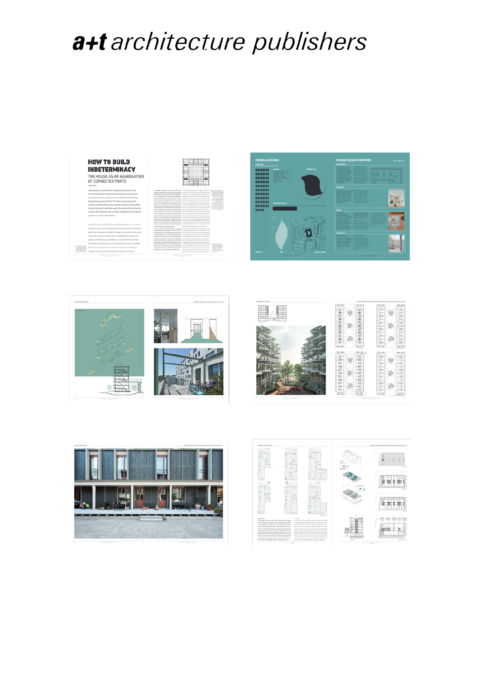







喔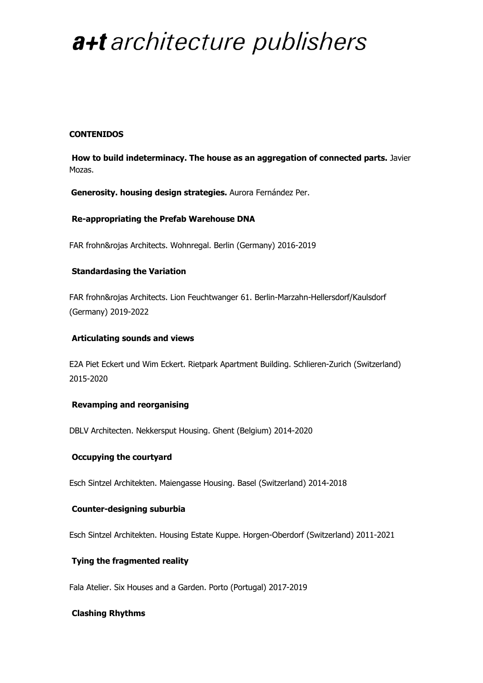#### **CONTENIDOS**

**How to build indeterminacy. The house as an aggregation of connected parts.** Javier Mozas.

**Generosity. housing design strategies.** Aurora Fernández Per.

#### **Re-appropriating the Prefab Warehouse DNA**

FAR frohn&rojas Architects. Wohnregal. Berlin (Germany) 2016-2019

#### **Standardasing the Variation**

FAR frohn&rojas Architects. Lion Feuchtwanger 61. Berlin-Marzahn-Hellersdorf/Kaulsdorf (Germany) 2019-2022

#### **Articulating sounds and views**

E2A Piet Eckert und Wim Eckert. Rietpark Apartment Building. Schlieren-Zurich (Switzerland) 2015-2020

#### **Revamping and reorganising**

DBLV Architecten. Nekkersput Housing. Ghent (Belgium) 2014-2020

#### **Occupying the courtyard**

Esch Sintzel Architekten. Maiengasse Housing. Basel (Switzerland) 2014-2018

#### **Counter-designing suburbia**

Esch Sintzel Architekten. Housing Estate Kuppe. Horgen-Oberdorf (Switzerland) 2011-2021

#### **Tying the fragmented reality**

Fala Atelier. Six Houses and a Garden. Porto (Portugal) 2017-2019

#### **Clashing Rhythms**